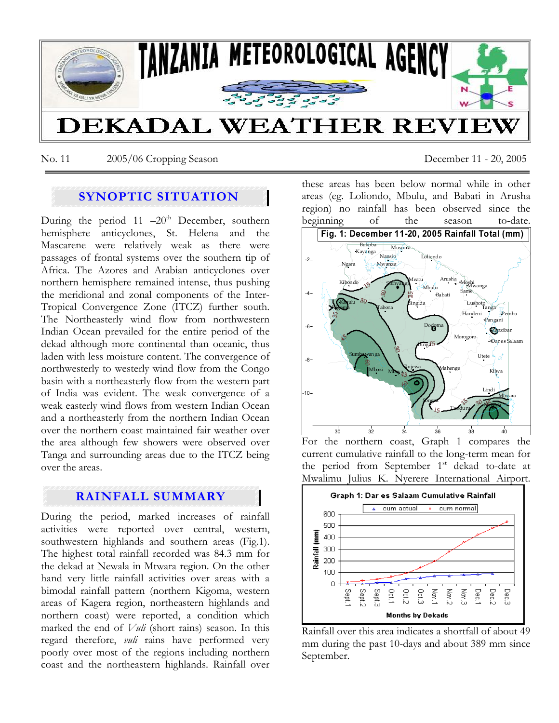

No. 11 2005/06 Cropping Season December 11 - 20, 2005

# **SYNOPTIC SITUATION**

During the period 11  $-20<sup>th</sup>$  December, southern hemisphere anticyclones, St. Helena and the Mascarene were relatively weak as there were passages of frontal systems over the southern tip of Africa. The Azores and Arabian anticyclones over northern hemisphere remained intense, thus pushing the meridional and zonal components of the Inter-Tropical Convergence Zone (ITCZ) further south. The Northeasterly wind flow from northwestern Indian Ocean prevailed for the entire period of the dekad although more continental than oceanic, thus laden with less moisture content. The convergence of northwesterly to westerly wind flow from the Congo basin with a northeasterly flow from the western part of India was evident. The weak convergence of a weak easterly wind flows from western Indian Ocean and a northeasterly from the northern Indian Ocean over the northern coast maintained fair weather over the area although few showers were observed over Tanga and surrounding areas due to the ITCZ being over the areas.

## **RAINFALL SUMMARY**

During the period, marked increases of rainfall activities were reported over central, western, southwestern highlands and southern areas (Fig.1). The highest total rainfall recorded was 84.3 mm for the dekad at Newala in Mtwara region. On the other hand very little rainfall activities over areas with a bimodal rainfall pattern (northern Kigoma, western areas of Kagera region, northeastern highlands and northern coast) were reported, a condition which marked the end of *Vuli* (short rains) season. In this regard therefore, *vuli* rains have performed very poorly over most of the regions including northern coast and the northeastern highlands. Rainfall over

these areas has been below normal while in other areas (eg. Loliondo, Mbulu, and Babati in Arusha region) no rainfall has been observed since the beginning of the season to-date.



For the northern coast, Graph 1 compares the current cumulative rainfall to the long-term mean for the period from September 1<sup>st</sup> dekad to-date at Mwalimu Julius K. Nyerere International Airport.



Rainfall over this area indicates a shortfall of about 49 mm during the past 10-days and about 389 mm since September.